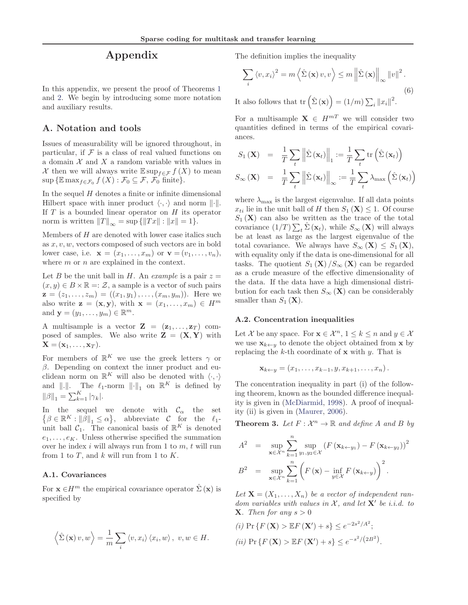# Appendix

In this appendix, we present the proof of Theorems 1 and 2. We begin by introducing some more notation and auxiliary results.

# A. Notation and tools

Issues of measurability will be ignored throughout, in particular, if  $\mathcal F$  is a class of real valued functions on a domain  $X$  and  $X$  a random variable with values in X then we will always write  $\mathbb{E} \sup_{f \in \mathcal{F}} f(X)$  to mean  $\sup \{ \mathbb{E} \max_{f \in \mathcal{F}_0} f(X) : \mathcal{F}_0 \subseteq \mathcal{F}, \ \mathcal{F}_0 \text{ finite} \}.$ 

In the sequel  $H$  denotes a finite or infinite dimensional Hilbert space with inner product  $\langle \cdot, \cdot \rangle$  and norm  $\|\cdot\|$ . If  $T$  is a bounded linear operator on  $H$  its operator norm is written  $||T||_{\infty} = \sup \{||Tx|| : ||x|| = 1\}.$ 

Members of  $H$  are denoted with lower case italics such as  $x, v, w$ , vectors composed of such vectors are in bold lower case, i.e.  $\mathbf{x} = (x_1, \ldots, x_m)$  or  $\mathbf{v} = (v_1, \ldots, v_n)$ , where m or n are explained in the context.

Let B be the unit ball in H. An example is a pair  $z =$  $(x, y) \in B \times \mathbb{R} =: \mathcal{Z}$ , a sample is a vector of such pairs  $z = (z_1, \ldots, z_m) = ((x_1, y_1), \ldots, (x_m, y_m))$ . Here we also write  $\mathbf{z} = (\mathbf{x}, \mathbf{y})$ , with  $\mathbf{x} = (x_1, \dots, x_m) \in H^m$ and  $\mathbf{y} = (y_1, \ldots, y_m) \in \mathbb{R}^m$ .

A multisample is a vector  $\mathbf{Z} = (\mathbf{z}_1, \dots, \mathbf{z}_T)$  composed of samples. We also write  $\mathbf{Z} = (\mathbf{X}, \mathbf{Y})$  with  $\mathbf{X} = (\mathbf{x}_1, \ldots, \mathbf{x}_T).$ 

For members of  $\mathbb{R}^K$  we use the greek letters  $\gamma$  or  $\beta$ . Depending on context the inner product and euclidean norm on  $\mathbb{R}^K$  will also be denoted with  $\langle \cdot, \cdot \rangle$ and  $\|\cdot\|$ . The  $\ell_1$ -norm  $\|\cdot\|_1$  on  $\mathbb{R}^K$  is defined by  $\|\beta\|_1 = \sum_{k=1}^K |\gamma_k|.$ 

In the sequel we denote with  $\mathcal{C}_{\alpha}$  the set  $\{\beta \in \mathbb{R}^K : ||\beta||_1 \leq \alpha\},\$  abbreviate C for the  $\ell_1$ unit ball  $C_1$ . The canonical basis of  $\mathbb{R}^K$  is denoted  $e_1, \ldots, e_K$ . Unless otherwise specified the summation over he index  $i$  will always run from 1 to  $m$ ,  $t$  will run from 1 to  $T$ , and  $k$  will run from 1 to  $K$ .

## A.1. Covariances

For  $\mathbf{x} \in H^m$  the empirical covariance operator  $\hat{\Sigma}(\mathbf{x})$  is specified by

$$
\langle \hat{\Sigma}(\mathbf{x}) v, w \rangle = \frac{1}{m} \sum_{i} \langle v, x_i \rangle \langle x_i, w \rangle, v, w \in H.
$$

The definition implies the inequality

$$
\sum_{i} \langle v, x_{i} \rangle^{2} = m \left\langle \hat{\Sigma}(\mathbf{x}) v, v \right\rangle \leq m \left\| \hat{\Sigma}(\mathbf{x}) \right\|_{\infty} \|v\|^{2}.
$$
\n(6)

It also follows that  $\text{tr}\left(\hat{\Sigma}\left(\mathbf{x}\right)\right) = \left(1/m\right)\sum_{i} \left\|x_i\right\|^2$ .

For a multisample  $X \in H^{mT}$  we will consider two quantities defined in terms of the empirical covariances.

$$
S_1(\mathbf{X}) = \frac{1}{T} \sum_t \left\| \hat{\Sigma}(\mathbf{x}_t) \right\|_1 := \frac{1}{T} \sum_t \text{tr} \left( \hat{\Sigma}(\mathbf{x}_t) \right)
$$

$$
S_{\infty}(\mathbf{X}) = \frac{1}{T} \sum_t \left\| \hat{\Sigma}(\mathbf{x}_t) \right\|_{\infty} := \frac{1}{T} \sum_t \lambda_{\text{max}} \left( \hat{\Sigma}(\mathbf{x}_t) \right)
$$

where  $\lambda_{\text{max}}$  is the largest eigenvalue. If all data points  $x_{ti}$  lie in the unit ball of H then  $S_1(\mathbf{X}) \leq 1$ . Of course  $S_1$  (X) can also be written as the trace of the total covariance  $(1/T) \sum_t \hat{\Sigma}(\mathbf{x}_t)$ , while  $S_{\infty}(\mathbf{X})$  will always be at least as large as the largest eigenvalue of the total covariance. We always have  $S_{\infty}(\mathbf{X}) \leq S_1(\mathbf{X}),$ with equality only if the data is one-dimensional for all tasks. The quotient  $S_1(\mathbf{X})/S_\infty(\mathbf{X})$  can be regarded as a crude measure of the effective dimensionality of the data. If the data have a high dimensional distribution for each task then  $S_{\infty}(\mathbf{X})$  can be considerably smaller than  $S_1(\mathbf{X})$ .

#### A.2. Concentration inequalities

Let X be any space. For  $\mathbf{x} \in \mathcal{X}^n, 1 \leq k \leq n$  and  $y \in \mathcal{X}$ we use  $\mathbf{x}_{k\leftarrow y}$  to denote the object obtained from **x** by replacing the  $k$ -th coordinate of  $x$  with  $y$ . That is

$$
\mathbf{x}_{k\leftarrow y}=(x_1,\ldots,x_{k-1},y,x_{k+1},\ldots,x_n).
$$

The concentration inequality in part (i) of the following theorem, known as the bounded difference inequality is given in (McDiarmid, 1998). A proof of inequality (ii) is given in (Maurer, 2006).

**Theorem 3.** Let  $F: \mathcal{X}^n \to \mathbb{R}$  and define A and B by

$$
A^{2} = \sup_{\mathbf{x} \in \mathcal{X}^{n}} \sum_{k=1}^{n} \sup_{y_{1}, y_{2} \in \mathcal{X}} (F(\mathbf{x}_{k \leftarrow y_{1}}) - F(\mathbf{x}_{k \leftarrow y_{2}}))^{2}
$$

$$
B^{2} = \sup_{\mathbf{x} \in \mathcal{X}^{n}} \sum_{k=1}^{n} (F(\mathbf{x}) - \inf_{y \in \mathcal{X}} F(\mathbf{x}_{k \leftarrow y}))^{2}.
$$

Let  $\mathbf{X} = (X_1, \ldots, X_n)$  be a vector of independent random variables with values in  $\mathcal{X}$ , and let  $X'$  be i.i.d. to **X**. Then for any  $s > 0$ 

(i) 
$$
\Pr \{ F(\mathbf{X}) > \mathbb{E} F(\mathbf{X}') + s \} \le e^{-2s^2/A^2};
$$
  
(ii)  $\Pr \{ F(\mathbf{X}) > \mathbb{E} F(\mathbf{X}') + s \} \le e^{-s^2/(2B^2)}.$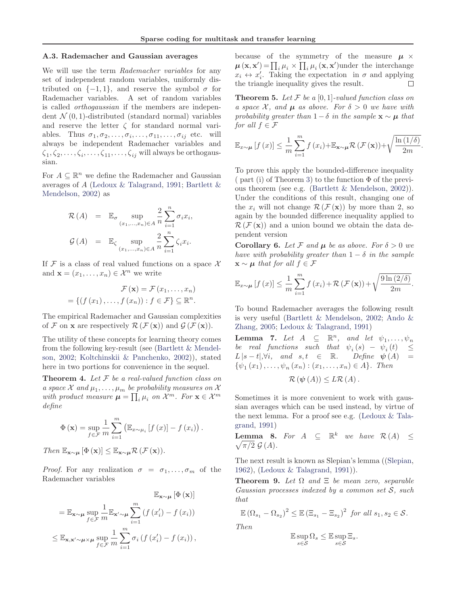#### A.3. Rademacher and Gaussian averages

We will use the term Rademacher variables for any set of independent random variables, uniformly distributed on  $\{-1, 1\}$ , and reserve the symbol  $\sigma$  for Rademacher variables. A set of random variables is called orthogaussian if the members are independent  $\mathcal{N}(0, 1)$ -distributed (standard normal) variables and reserve the letter  $\zeta$  for standard normal variables. Thus  $\sigma_1, \sigma_2, \ldots, \sigma_i, \ldots, \sigma_{11}, \ldots, \sigma_{ij}$  etc. will always be independent Rademacher variables and  $\zeta_1, \zeta_2, \ldots, \zeta_i, \ldots, \zeta_{11}, \ldots, \zeta_{ij}$  will always be orthogaussian.

For  $A \subseteq \mathbb{R}^n$  we define the Rademacher and Gaussian averages of A (Ledoux & Talagrand, 1991; Bartlett & Mendelson, 2002) as

$$
\mathcal{R}(A) = \mathbb{E}_{\sigma} \sup_{(x_1, \dots, x_n) \in A} \frac{2}{n} \sum_{i=1}^n \sigma_i x_i,
$$
  

$$
\mathcal{G}(A) = \mathbb{E}_{\zeta} \sup_{(x_1, \dots, x_n) \in A} \frac{2}{n} \sum_{i=1}^n \zeta_i x_i.
$$

If F is a class of real valued functions on a space  $\mathcal X$ and  $\mathbf{x} = (x_1, \dots, x_n) \in \mathcal{X}^n$  we write

$$
\mathcal{F}(\mathbf{x}) = \mathcal{F}(x_1, \dots, x_n)
$$

$$
= \{ (f(x_1), \dots, f(x_n)) : f \in \mathcal{F} \} \subseteq \mathbb{R}^n.
$$

The empirical Rademacher and Gaussian complexities of F on **x** are respectively  $\mathcal{R}(\mathcal{F}(\mathbf{x}))$  and  $\mathcal{G}(\mathcal{F}(\mathbf{x}))$ .

The utility of these concepts for learning theory comes from the following key-result (see (Bartlett & Mendelson, 2002; Koltchinskii & Panchenko, 2002)), stated here in two portions for convenience in the sequel.

**Theorem 4.** Let  $F$  be a real-valued function class on a space  $\mathcal X$  and  $\mu_1,\ldots,\mu_m$  be probability measures on  $\mathcal X$ with product measure  $\boldsymbol{\mu} = \prod_i \mu_i$  on  $\mathcal{X}^m$ . For  $\mathbf{x} \in \mathcal{X}^m$ define

$$
\Phi\left(\mathbf{x}\right) = \sup_{f \in \mathcal{F}} \frac{1}{m} \sum_{i=1}^{m} \left( \mathbb{E}_{x \sim \mu_i} \left[ f\left(x\right) \right] - f\left(x_i\right) \right).
$$

Then  $\mathbb{E}_{\mathbf{x}\sim\boldsymbol{\mu}}[\Phi(\mathbf{x})] \leq \mathbb{E}_{\mathbf{x}\sim\boldsymbol{\mu}}\mathcal{R}(\mathcal{F}(\mathbf{x})).$ 

*Proof.* For any realization  $\sigma = \sigma_1, \ldots, \sigma_m$  of the Rademacher variables

$$
\mathbb{E}_{\mathbf{x} \sim \mu} [\Phi(\mathbf{x})]
$$
  
=  $\mathbb{E}_{\mathbf{x} \sim \mu} \sup_{f \in \mathcal{F}} \frac{1}{m} \mathbb{E}_{\mathbf{x}' \sim \mu} \sum_{i=1}^{m} (f(x'_i) - f(x_i))$   
 $\leq \mathbb{E}_{\mathbf{x}, \mathbf{x}' \sim \mu \times \mu} \sup_{f \in \mathcal{F}} \frac{1}{m} \sum_{i=1}^{m} \sigma_i (f(x'_i) - f(x_i)),$ 

because of the symmetry of the measure  $\mu \times$  $\boldsymbol{\mu}(\mathbf{x}, \mathbf{x}') = \prod_i \mu_i \times \prod_i \mu_i(\mathbf{x}, \mathbf{x}')$ under the interchange  $x_i \leftrightarrow x'_i$ . Taking the expectation in  $\sigma$  and applying  $\Box$ the triangle inequality gives the result.

**Theorem 5.** Let  $\mathcal F$  be a [0, 1]-valued function class on a space X, and  $\mu$  as above. For  $\delta > 0$  we have with probability greater than  $1-\delta$  in the sample  $\mathbf{x} \sim \boldsymbol{\mu}$  that for all  $f \in \mathcal{F}$ 

$$
\mathbb{E}_{x \sim \mu} \left[ f(x) \right] \le \frac{1}{m} \sum_{i=1}^{m} f(x_i) + \mathbb{E}_{\mathbf{x} \sim \mu} \mathcal{R} \left( \mathcal{F} \left( \mathbf{x} \right) \right) + \sqrt{\frac{\ln \left( 1/\delta \right)}{2m}}
$$

.

To prove this apply the bounded-difference inequality  $\pi$  ( part (i) of Theorem 3) to the function  $\Phi$  of the previous theorem (see e.g. (Bartlett & Mendelson, 2002)). Under the conditions of this result, changing one of the  $x_i$  will not change  $\mathcal{R}(\mathcal{F}(\mathbf{x}))$  by more than 2, so again by the bounded difference inequality applied to  $\mathcal{R}(\mathcal{F}(\mathbf{x}))$  and a union bound we obtain the data dependent version

**Corollary 6.** Let F and  $\mu$  be as above. For  $\delta > 0$  we have with probability greater than  $1 - \delta$  in the sample  $\mathbf{x} \sim \boldsymbol{\mu}$  that for all  $f \in \mathcal{F}$ 

$$
\mathbb{E}_{x \sim \mu} \left[ f(x) \right] \leq \frac{1}{m} \sum_{i=1}^{m} f(x_i) + \mathcal{R} \left( \mathcal{F} \left( \mathbf{x} \right) \right) + \sqrt{\frac{9 \ln \left( 2/\delta \right)}{2m}}.
$$

To bound Rademacher averages the following result is very useful (Bartlett & Mendelson, 2002; Ando & Zhang, 2005; Ledoux & Talagrand, 1991)

**Lemma 7.** Let  $A \subseteq \mathbb{R}^n$ , and let  $\psi_1, \ldots, \psi_n$ be real functions such that  $\psi_i(s) - \psi_i(t) \leq$  $L|s-t|, \forall i$ , and  $s, t \in \mathbb{R}$ . Define  $\psi(A) =$  $\{\psi_1(x_1), \ldots, \psi_n(x_n) : (x_1, \ldots, x_n) \in A\}.$  Then

$$
\mathcal{R}(\psi(A))\leq L\mathcal{R}(A).
$$

Sometimes it is more convenient to work with gaussian averages which can be used instead, by virtue of the next lemma. For a proof see e.g. (Ledoux & Talagrand, 1991)

**Lemma 8.** For  $A \subseteq \mathbb{R}^k$  we have  $\mathcal{R}(A) \leq$  $\sqrt{\pi/2} \mathcal{G}(A)$ .

The next result is known as Slepian's lemma ((Slepian, 1962), (Ledoux & Talagrand, 1991)).

**Theorem 9.** Let  $\Omega$  and  $\Xi$  be mean zero, separable Gaussian processes indexed by a common set  $S$ , such that

$$
\mathbb{E}(\Omega_{s_1} - \Omega_{s_2})^2 \leq \mathbb{E}(\Xi_{s_1} - \Xi_{s_2})^2 \text{ for all } s_1, s_2 \in \mathcal{S}.
$$

Then

$$
\mathbb{E}\sup_{s\in\mathcal{S}}\Omega_s\leq\mathbb{E}\sup_{s\in\mathcal{S}}\Xi_s.
$$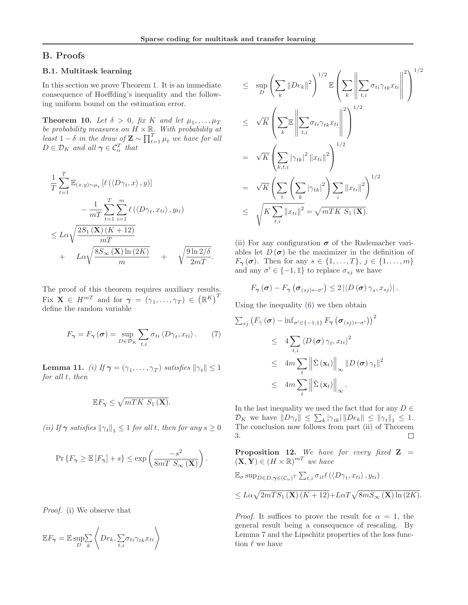# B. Proofs

## B.1. Multitask learning

In this section we prove Theorem 1. It is an immediate consequence of Hoeffding's inequality and the following uniform bound on the estimation error.

**Theorem 10.** Let  $\delta > 0$ , fix K and let  $\mu_1, \ldots, \mu_T$ be probability measures on  $H \times \mathbb{R}$ . With probability at least  $1 - \delta$  in the draw of  $\mathbf{Z} \sim \prod_{t=1}^{T} \mu_t$  we have for all  $D \in \mathcal{D}_K$  and all  $\gamma \in \mathcal{C}_{\alpha}^T$  that

$$
\frac{1}{T} \sum_{t=1}^{T} \mathbb{E}_{(x,y)\sim\mu_t} \left[ \ell \left( \left\langle D\gamma_t, x \right\rangle, y \right) \right] \n- \frac{1}{mT} \sum_{t=1}^{T} \sum_{i=1}^{m} \ell \left( \left\langle D\gamma_t, x_{ti} \right\rangle, y_{ti} \right) \n\leq L\alpha \sqrt{\frac{2S_1(\mathbf{X})(K+12)}{mT}} \n+ L\alpha \sqrt{\frac{8S_\infty(\mathbf{X})\ln(2K)}{m}} + \sqrt{\frac{9\ln 2/\delta}{2mT}}.
$$

The proof of this theorem requires auxiliary results. Fix  $\mathbf{X} \in H^{m}$  and for  $\boldsymbol{\gamma} = (\gamma_1, \dots, \gamma_T) \in (\mathbb{R}^K)^T$ define the random variable

$$
F_{\gamma} = F_{\gamma}(\boldsymbol{\sigma}) = \sup_{D \in \mathcal{D}_K} \sum_{t,i} \sigma_{ti} \langle D\gamma_t, x_{ti} \rangle. \tag{7}
$$

**Lemma 11.** (i) If  $\boldsymbol{\gamma} = (\gamma_1, \dots, \gamma_T)$  satisfies  $\|\gamma_t\| \leq 1$ for all t, then

$$
\mathbb{E} F_{\gamma} \leq \sqrt{mTK \ S_1(\mathbf{X})}.
$$

(ii) If  $\gamma$  satisfies  $\|\gamma_t\|_1 \leq 1$  for all t, then for any  $s \geq 0$ 

$$
\Pr\left\{F_{\pmb\gamma} \geq \mathbb{E}\left[F_{\pmb\gamma}\right] + s\right\} \leq \exp\left(\frac{-s^2}{8mT\ S_\infty\left(\mathbf{X}\right)}\right).
$$

Proof. (i) We observe that

$$
\mathbb{E}F_{\gamma} = \mathbb{E}\sup_{D}\sum_{k}\left\langle De_k, \sum_{t,i}\sigma_{ti}\gamma_{tk}x_{ti}\right\rangle
$$

$$
\leq \sup_{D} \left( \sum_{k} ||De_{k}||^{2} \right)^{1/2} \mathbb{E} \left( \sum_{k} \left\| \sum_{t,i} \sigma_{ti} \gamma_{tk} x_{ti} \right\|^{2} \right)^{1/2}
$$
\n
$$
\leq \sqrt{K} \left( \sum_{k} \mathbb{E} \left\| \sum_{t,i} \sigma_{ti} \gamma_{tk} x_{ti} \right\|^{2} \right)^{1/2}
$$
\n
$$
= \sqrt{K} \left( \sum_{k,t,i} |\gamma_{tk}|^{2} ||x_{ti}||^{2} \right)^{1/2}
$$
\n
$$
= \sqrt{K} \left( \sum_{t} \left( \sum_{k} |\gamma_{tk}|^{2} \right) \sum_{i} ||x_{ti}||^{2} \right)^{1/2}
$$
\n
$$
\leq \sqrt{K \sum_{t,i} ||x_{ti}||^{2}} = \sqrt{mTK S_{1}(\mathbf{X})}.
$$

(ii) For any configuration  $\sigma$  of the Rademacher variables let  $D(\sigma)$  be the maximizer in the definition of  $F_{\gamma}(\sigma)$ . Then for any  $s \in \{1, ..., T\}, j \in \{1, ..., m\}$ and any  $\sigma' \in \{-1, 1\}$  to replace  $\sigma_{sj}$  we have

$$
F_{\boldsymbol{\gamma}}(\boldsymbol{\sigma})-F_{\boldsymbol{\gamma}}\left(\boldsymbol{\sigma}_{(sj)\leftarrow \boldsymbol{\sigma}'}\right)\leq 2\left|\left\langle D\left(\boldsymbol{\sigma}\right)\gamma_{s},x_{sj}\right\rangle \right|.
$$

Using the inequality (6) we then obtain

$$
\sum_{s,j} (F_{\gamma}(\sigma) - \inf_{\sigma' \in \{-1,1\}} F_{\gamma}(\sigma_{(sj)\leftarrow \sigma'}) )^{2}
$$
  
\n
$$
\leq 4 \sum_{t,i} \langle D(\sigma) \gamma_{t}, x_{ti} \rangle^{2}
$$
  
\n
$$
\leq 4m \sum_{t} \left\| \hat{\Sigma}(\mathbf{x}_{t}) \right\|_{\infty} \left\| D(\sigma) \gamma_{t} \right\|^{2}
$$
  
\n
$$
\leq 4m \sum_{t} \left\| \hat{\Sigma}(\mathbf{x}_{t}) \right\|_{\infty} .
$$

In the last inequality we used the fact that for any  $D \in$  $\mathcal{D}_K$  we have  $||D\gamma_t|| \leq \sum_k |\gamma_{tk}| ||De_k|| \leq ||\gamma_t||_1 \leq 1.$ The conclusion now follows from part (ii) of Theorem 3.  $\Box$ 

**Proposition 12.** We have for every fixed  $Z =$  $(\mathbf{X}, \mathbf{Y}) \in (H \times \mathbb{R})^{mT}$  we have

$$
\mathbb{E}_{\sigma} \sup_{D \in D, \gamma \in (C_{\alpha})^T} \sum_{t,i} \sigma_{it} \ell \left( \langle D\gamma_t, x_{ti} \rangle, y_{ti} \right) \leq L\alpha \sqrt{2mTS_1(\mathbf{X}) \left( K + 12 \right)} + L\alpha T \sqrt{8mS_{\infty}(\mathbf{X}) \ln(2K)}.
$$

*Proof.* It suffices to prove the result for  $\alpha = 1$ , the general result being a consequence of rescaling. By Lemma 7 and the Lipschitz properties of the loss function  $\ell$  we have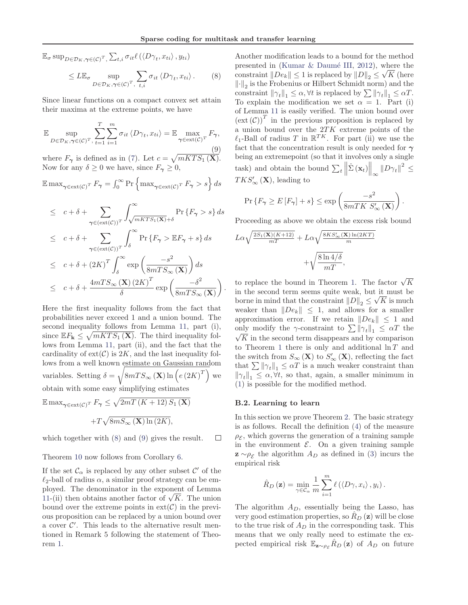.

 $\mathbb{E}_{\sigma} \sup_{D \in \mathcal{D}_K, \gamma \in (C)^T}$ ,  $\sum_{t,i} \sigma_{it} \ell \left( \left\langle D \gamma_t, x_{ti} \right\rangle, y_{ti} \right)$ 

$$
\leq L\mathbb{E}_{\sigma} \sup_{D \in \mathcal{D}_K, \gamma \in (C)^T, \ t, i} \sum_{t, i} \sigma_{it} \langle D\gamma_t, x_{ti} \rangle. \tag{8}
$$

Since linear functions on a compact convex set attain their maxima at the extreme points, we have

$$
\mathbb{E} \sup_{D \in \mathcal{D}_K, \gamma \in (\mathcal{C})^T, \, t=1} \sum_{i=1}^T \sum_{i=1}^m \sigma_{it} \langle D\gamma_t, x_{ti} \rangle = \mathbb{E} \max_{\gamma \in \text{ext}(\mathcal{C})^T} F_{\gamma},\tag{9}
$$

where  $F_{\gamma}$  is defined as in (7). Let  $c = \sqrt{mKTS_1(X)}$ . Now for any  $\delta \geq 0$  we have, since  $F_{\gamma} \geq 0$ ,

 $\mathbb{E} \max_{\gamma \in \text{ext}(\mathcal{C})^T} F_{\gamma} = \int_0^{\infty} \Pr \left\{ \max_{\gamma \in \text{ext}(\mathcal{C})^T} F_{\gamma} > s \right\} ds$ 

$$
\leq c + \delta + \sum_{\gamma \in (ext(\mathcal{C}))^T} \int_{\sqrt{mKTS_1(\mathbf{X})} + \delta}^{\infty} \Pr \{ F_{\gamma} > s \} ds
$$
  

$$
\leq c + \delta + \sum_{\gamma \in (ext(\mathcal{C}))^T} \int_{\delta}^{\infty} \Pr \{ F_{\gamma} > \mathbb{E} F_{\gamma} + s \} ds
$$
  

$$
\leq c + \delta + (2K)^T \int_{\delta}^{\infty} \exp \left( \frac{-s^2}{8mTS_{\infty}(\mathbf{X})} \right) ds
$$
  

$$
\leq c + \delta + \frac{4mTS_{\infty}(\mathbf{X}) (2K)^T}{\delta} \exp \left( \frac{-\delta^2}{8mTS_{\infty}(\mathbf{X})} \right)
$$

Here the first inequality follows from the fact that probabilities never exceed 1 and a union bound. The second inequality follows from Lemma 11, part (i), since  $\mathbb{E} F_{\mathbf{k}} \leq \sqrt{mKTS_1(\mathbf{X})}$ . The third inequality follows from Lemma 11, part (ii), and the fact that the cardinality of  $ext(\mathcal{C})$  is 2K, and the last inequality follows from a well known estimate on Gaussian random variables. Setting  $\delta = \sqrt{8mTS_{\infty}(\mathbf{X})\ln\left(e\left(2K\right)^{T}\right)}$  we obtain with some easy simplifying estimates

 $\mathbb{E} \max_{\gamma \in \text{ext}(\mathcal{C})^T} F_{\gamma} \leq \sqrt{2mT(K + 12) S_1(\mathbf{X})}$  $+T\sqrt{8mS_{\infty}(\mathbf{X})\ln(2K)},$ 

which together with (8) and (9) gives the result.  $\Box$ 

Theorem 10 now follows from Corollary 6.

If the set  $\mathcal{C}_{\alpha}$  is replaced by any other subset  $\mathcal{C}'$  of the  $\ell_2$ -ball of radius  $\alpha$ , a similar proof strategy can be employed. The denominator in the exponent of Lemma 11-(ii) then obtains another factor of  $\sqrt{K}$ . The union bound over the extreme points in  $ext(\mathcal{C})$  in the previous proposition can be replaced by a union bound over a cover  $\mathcal{C}'$ . This leads to the alternative result mentioned in Remark 5 following the statement of Theorem 1.

Another modification leads to a bound for the method presented in (Kumar  $\&$  Daumé III, 2012), where the constraint  $||De_k|| \leq 1$  is replaced by  $||D||_2 \leq \sqrt{K}$  (here  $\left\Vert \cdot\right\Vert_2$  is the Frobenius or Hilbert Schmidt norm) and the constraint  $\|\gamma_t\|_1 \leq \alpha, \forall t$  is replaced by  $\sum \|\gamma_t\|_1 \leq \alpha T$ . To explain the modification we set  $\alpha = 1$ . Part (i) of Lemma 11 is easily verified. The union bound over  $(\text{ext}(\mathcal{C}))^T$  in the previous proposition is replaced by a union bound over the  $2TK$  extreme points of the  $\ell_1$ -Ball of radius T in  $\mathbb{R}^{TK}$ . For part (ii) we use the fact that the concentration result is only needed for  $\gamma$ being an extremepoint (so that it involves only a single task) and obtain the bound  $\sum_{t} \left\| \hat{\Sigma} (\mathbf{x}_t) \right\|_{\infty} \| D \gamma_t \|^2 \leq$  $TKS'_{\infty}(\mathbf{X})$ , leading to

$$
\Pr\left\{F_{\pmb\gamma} \geq E\left[F_{\pmb\gamma}\right] + s\right\} \leq \exp\left(\frac{-s^2}{8mTK\ S_{\infty}'\left(\mathbf{X}\right)}\right).
$$

Proceeding as above we obtain the excess risk bound

$$
L\alpha \sqrt{\frac{2S_1(\mathbf{X})(K+12)}{mT}} + L\alpha \sqrt{\frac{8KS'_{\infty}(\mathbf{X})\ln(2KT)}{m}}
$$

$$
+ \sqrt{\frac{8\ln 4/\delta}{mT}},
$$

to replace the bound in Theorem 1. The factor  $\sqrt{K}$ in the second term seems quite weak, but it must be borne in mind that the constraint  $||D||_2 \leq \sqrt{K}$  is much weaker than  $||De_k|| \leq 1$ , and allows for a smaller approximation error. If we retain  $\|De_k\| \leq 1$  and only modify the  $\gamma$ -constraint to  $\sum ||\gamma_t||_1 \leq \alpha T$  the  $\sqrt{\overline{K}}$  in the second term disappears and by comparison to Theorem 1 there is only and additional  $\ln T$  and the switch from  $S_{\infty}(\mathbf{X})$  to  $S'_{\infty}(\mathbf{X})$ , reflecting the fact that  $\sum \left\|\boldsymbol{\gamma}_t\right\|_1 \leq \alpha T$  is a much weaker constraint than  $\|\gamma_t\|_1 \leq \alpha, \forall t$ , so that, again, a smaller minimum in (1) is possible for the modified method.

## B.2. Learning to learn

In this section we prove Theorem 2. The basic strategy is as follows. Recall the definition (4) of the measure  $\rho_{\mathcal{E}}$ , which governs the generation of a training sample in the environment  $\mathcal{E}$ . On a given training sample  $\mathbf{z} \sim \rho_{\mathcal{E}}$  the algorithm  $A_D$  as defined in (3) incurs the empirical risk

$$
\hat{R}_D(\mathbf{z}) = \min_{\gamma \in \mathcal{C}_{\alpha}} \frac{1}{m} \sum_{i=1}^m \ell(\langle D\gamma, x_i \rangle, y_i).
$$

The algorithm  $A_D$ , essentially being the Lasso, has very good estimation properties, so  $R_D(\mathbf{z})$  will be close to the true risk of  $A_D$  in the corresponding task. This means that we only really need to estimate the expected empirical risk  $\mathbb{E}_{\mathbf{z} \sim \rho_{\mathcal{E}}} R_D(\mathbf{z})$  of  $A_D$  on future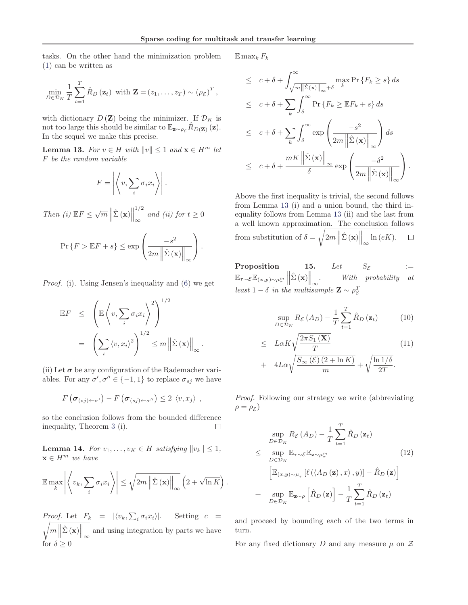tasks. On the other hand the minimization problem (1) can be written as

$$
\min_{D \in \mathcal{D}_K} \frac{1}{T} \sum_{t=1}^T \hat{R}_D(\mathbf{z}_t) \text{ with } \mathbf{Z} = (z_1, \dots, z_T) \sim (\rho_{\mathcal{E}})^T,
$$

with dictionary  $D(\mathbf{Z})$  being the minimizer. If  $\mathcal{D}_K$  is not too large this should be similar to  $\mathbb{E}_{\mathbf{z} \sim \rho_c} R_{D(\mathbf{Z})}(\mathbf{z}).$ In the sequel we make this precise.

**Lemma 13.** For  $v \in H$  with  $||v|| \leq 1$  and  $\mathbf{x} \in H^m$  let F be the random variable

$$
F = \left| \left\langle v, \sum_{i} \sigma_i x_i \right\rangle \right|.
$$

Then (i)  $\mathbb{E}F \leq \sqrt{m} \left\| \hat{\Sigma} (\mathbf{x}) \right\|$ 1/2  $\infty$  and (ii) for  $t \geq 0$ 

$$
\Pr\left\{F > \mathbb{E}F + s\right\} \le \exp\left(\frac{-s^2}{2m\left\|\hat{\Sigma}\left(\mathbf{x}\right)\right\|_{\infty}}\right).
$$

Proof. (i). Using Jensen's inequality and (6) we get

$$
\mathbb{E}F \leq \left( \mathbb{E}\left\langle v, \sum_{i} \sigma_{i} x_{i} \right\rangle^{2} \right)^{1/2}
$$

$$
= \left( \sum_{i} \left\langle v, x_{i} \right\rangle^{2} \right)^{1/2} \leq m \left\| \hat{\Sigma}(\mathbf{x}) \right\|_{\infty}.
$$

(ii) Let  $\sigma$  be any configuration of the Rademacher variables. For any  $\sigma', \sigma'' \in \{-1, 1\}$  to replace  $\sigma_{sj}$  we have

$$
F\left(\boldsymbol{\sigma}_{(sj)\leftarrow \sigma'}\right)-F\left(\boldsymbol{\sigma}_{(sj)\leftarrow \sigma''}\right)\leq 2\left|\left\langle v,x_j\right\rangle\right|,
$$

so the conclusion follows from the bounded difference inequality, Theorem 3 (i). П

**Lemma 14.** For  $v_1, \ldots, v_K \in H$  satisfying  $||v_k|| \leq 1$ ,  $\mathbf{x} \in H^m$  we have

$$
\mathbb{E}\max_{k}\left|\left\langle v_{k},\sum_{i}\sigma_{i}x_{i}\right\rangle\right|\leq\sqrt{2m\left\|\hat{\Sigma}\left(\mathbf{x}\right)\right\|_{\infty}}\left(2+\sqrt{\ln K}\right).
$$

*Proof.* Let  $F_k = |\langle v_k, \sum_i \sigma_i x_i \rangle|$ . Setting  $c =$  $m\left\|\hat{\Sigma}(\mathbf{x})\right\|_{\infty}$ and using integration by parts we have for  $\delta > 0$ 

 $\mathbb{E} \max_k F_k$ 

$$
\leq c + \delta + \int_{\sqrt{m||\hat{\Sigma}(\mathbf{x})||_{\infty}} + \delta}^{\infty} \max F\{F_k \geq s\} ds
$$
  

$$
\leq c + \delta + \sum_{k} \int_{\delta}^{\infty} \Pr\{F_k \geq \mathbb{E}F_k + s\} ds
$$
  

$$
\leq c + \delta + \sum_{k} \int_{\delta}^{\infty} \exp\left(\frac{-s^2}{2m||\hat{\Sigma}(\mathbf{x})||_{\infty}}\right) ds
$$
  

$$
\leq c + \delta + \frac{mK||\hat{\Sigma}(\mathbf{x})||_{\infty}}{\delta} \exp\left(\frac{-\delta^2}{2m||\hat{\Sigma}(\mathbf{x})||_{\infty}}\right).
$$

Above the first inequality is trivial, the second follows from Lemma 13 (i) and a union bound, the third inequality follows from Lemma 13 (ii) and the last from a well known approximation. The conclusion follows from substitution of  $\delta = \sqrt{2m \left\|\hat{\Sigma}(\mathbf{x})\right\|_{\infty}}$  $\ln(eK)$ .  $\Box$ 

Proposition 15. Let  $S_{\mathcal{E}}$  :=  $\mathbb{E}_{\tau\sim\mathcal{E}}\mathbb{E}_{(\mathbf{x},\mathbf{y})\sim\mu_{\tau}^{m}}\left\|\hat{\Sigma}\left(\mathbf{x}\right)\right\|_{\infty}$ . With probability at least  $1 - \delta$  in the multisample  $\mathbf{Z} \sim \rho_{\mathcal{E}}^T$ E

$$
\sup_{D \in \mathcal{D}_K} R_{\mathcal{E}}(A_D) - \frac{1}{T} \sum_{t=1}^T \hat{R}_D(\mathbf{z}_t)
$$
 (10)

$$
\leq L\alpha K \sqrt{\frac{2\pi S_1(\mathbf{X})}{T}} + 4L\alpha \sqrt{\frac{S_\infty(\mathcal{E})(2+\ln K)}{m}} + \sqrt{\frac{\ln 1/\delta}{2T}}.
$$
\n(11)

Proof. Following our strategy we write (abbreviating  $\rho = \rho_{\mathcal{E}}$ )

$$
\sup_{D \in \mathcal{D}_K} R_{\mathcal{E}} (A_D) - \frac{1}{T} \sum_{t=1}^T \hat{R}_D (\mathbf{z}_t)
$$
\n
$$
\leq \sup_{D \in \mathcal{D}_K} \mathbb{E}_{\mathbf{z} \sim \mu_{\tau}^m} \qquad (12)
$$
\n
$$
\left[ \mathbb{E}_{(x,y) \sim \mu_{\tau}} \left[ \ell \left( \langle A_D (\mathbf{z}), x \rangle, y \right) \right] - \hat{R}_D (\mathbf{z}) \right]
$$
\n
$$
+ \sup_{D \in \mathcal{D}_K} \mathbb{E}_{\mathbf{z} \sim \rho} \left[ \hat{R}_D (\mathbf{z}) \right] - \frac{1}{T} \sum_{t=1}^T \hat{R}_D (\mathbf{z}_t)
$$

and proceed by bounding each of the two terms in turn.

For any fixed dictionary D and any measure  $\mu$  on Z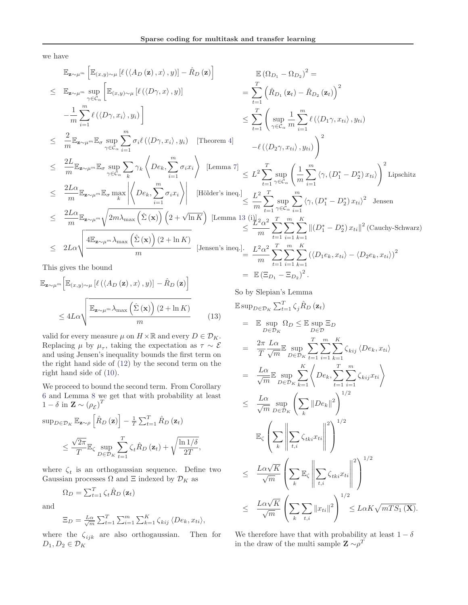we have

$$
\mathbb{E}_{\mathbf{z}\sim\mu^{m}}\left[\mathbb{E}_{(x,y)\sim\mu}\left[\ell(\langle A_{D}\left(\mathbf{z}\right),x\rangle,y)\right]-\hat{R}_{D}\left(\mathbf{z}\right)\right]
$$
\n
$$
\leq \mathbb{E}_{\mathbf{z}\sim\mu^{m}}\sup_{\gamma\in C_{\alpha}}\left[\mathbb{E}_{(x,y)\sim\mu}\left[\ell(\langle D\gamma,x\rangle,y)\right]\right]
$$
\n
$$
-\frac{1}{m}\sum_{i=1}^{m}\ell(\langle D\gamma,x_{i}\rangle,y_{i})\right]
$$
\n
$$
\leq \sum_{i=1}^{T}\left(\sup_{\gamma\in C_{\alpha}}\frac{1}{m}\sum_{i=1}^{m}\ell(\langle D\gamma,x_{i}\rangle,y_{i})\right)
$$
\n
$$
\leq \sum_{i=1}^{T}\left(\sup_{\gamma\in C_{\alpha}}\frac{1}{m}\sum_{i=1}^{m}\ell(\langle D\gamma,x_{i}\rangle,y_{i})\right)
$$
\n
$$
\leq \frac{2}{m}\mathbb{E}_{\mathbf{z}\sim\mu^{m}}\mathbb{E}_{\sigma}\sup_{\gamma\in C_{\alpha}}\sum_{i=1}^{m}\sigma_{i}\ell(\langle D\gamma,x_{i}\rangle,y_{i})\left[\text{Theorem 4}\right]
$$
\n
$$
-\ell(\langle D_{2}\gamma,x_{i}\rangle,y_{i})\right)^{2}
$$
\n
$$
\leq \frac{2L}{m}\mathbb{E}_{\mathbf{z}\sim\mu^{m}}\mathbb{E}_{\sigma}\sup_{\gamma\in C_{\alpha}}\sum_{k}\gamma_{k}\left\langle De_{k},\sum_{i=1}^{m}\sigma_{i}x_{i}\right\rangle\left[\text{Lemma 7}\right]
$$
\n
$$
\leq L^{2}\sum_{t=1}^{T}\sup_{\gamma\in C_{\alpha}}\left(\frac{1}{m}\sum_{i=1}^{m}\langle\gamma,(D_{1}^{*}-D_{2}^{*})x_{i}\rangle\right)^{2}\text{Lipschitz}
$$
\n
$$
\leq \frac{2L\alpha}{m}\mathbb{E}_{\mathbf{z}\sim\mu^{m}}\mathbb{E}_{\sigma}\max_{k}\left|\left\langle De_{k},\sum_{i=1}^{m}\sigma_{i}x_{i}\right\rangle\right|\left[\text{Hölder's ineq.}]\right] \leq \frac{L^{2
$$

This gives the bound

$$
\mathbb{E}_{\mathbf{z} \sim \mu^{m}} \Big[ \mathbb{E}_{(x,y) \sim \mu} \left[ \ell \left( \langle A_{D} \left( \mathbf{z} \right), x \rangle, y \right) \right] - \hat{R}_{D} \left( \mathbf{z} \right) \Big] \n\leq 4L\alpha \sqrt{\frac{\mathbb{E}_{\mathbf{z} \sim \mu^{m}} \lambda_{\max} \left( \hat{\Sigma} \left( \mathbf{x} \right) \right) \left( 2 + \ln K \right)}{m}} \tag{13}
$$

valid for every measure  $\mu$  on  $H \times \mathbb{R}$  and every  $D \in \mathcal{D}_K$ . Replacing  $\mu$  by  $\mu_{\tau}$ , taking the expectation as  $\tau \sim \mathcal{E}$ and using Jensen's inequality bounds the first term on the right hand side of (12) by the second term on the right hand side of (10).

We proceed to bound the second term. From Corollary 6 and Lemma 8 we get that with probability at least  $1 - \delta$  in  $\mathbf{Z} \sim (\rho_{\mathcal{E}})^T$ 

$$
\sup_{D \in \mathcal{D}_K} \mathbb{E}_{\mathbf{z} \sim \rho} \left[ \hat{R}_D \left( \mathbf{z} \right) \right] - \frac{1}{T} \sum_{t=1}^T \hat{R}_D \left( \mathbf{z}_t \right)
$$
  

$$
\leq \frac{\sqrt{2\pi}}{T} \mathbb{E}_{\zeta} \sup_{D \in \mathcal{D}_K} \sum_{t=1}^T \zeta_t \hat{R}_D \left( \mathbf{z}_t \right) + \sqrt{\frac{\ln 1/\delta}{2T}},
$$

where  $\zeta_t$  is an orthogous ian sequence. Define two Gaussian processes  $\Omega$  and  $\Xi$  indexed by  $\mathcal{D}_K$  as

$$
\Omega_D = \sum_{t=1}^T \zeta_t \hat{R}_D \left( \mathbf{z}_t \right)
$$

and

$$
\Xi_D = \frac{L\alpha}{\sqrt{m}} \sum_{t=1}^T \sum_{i=1}^m \sum_{k=1}^K \zeta_{kij} \langle De_k, x_{ti} \rangle,
$$

where the  $\zeta_{ijk}$  are also orthogaussian. Then for  $D_1, D_2 \in \mathcal{D}_K$ 

So by Slepian's Lemma

 $=$   $\mathbb{E} (\Xi_{D_1} - \Xi_{D_2})^2$ .

$$
\mathbb{E} \sup_{D \in \mathcal{D}_K} \sum_{t=1}^T \zeta_j \hat{R}_D (\mathbf{z}_t)
$$
\n
$$
= \mathbb{E} \sup_{D \in \mathcal{D}_K} \Omega_D \leq \mathbb{E} \sup_{D \in \mathcal{D}} \Xi_D
$$
\n
$$
= \frac{2\pi}{T} \frac{L\alpha}{\sqrt{m}} \mathbb{E} \sup_{D \in \mathcal{D}_K} \sum_{t=1}^T \sum_{i=1}^m \sum_{k=1}^K \zeta_{kij} \langle De_k, x_{ti} \rangle
$$
\n
$$
= \frac{L\alpha}{\sqrt{m}} \mathbb{E} \sup_{D \in \mathcal{D}_K} \sum_{k=1}^K \left\langle De_k, \sum_{t=1}^T \sum_{i=1}^m \zeta_{kij} x_{ti} \right\rangle
$$
\n
$$
\leq \frac{L\alpha}{\sqrt{m}} \sup_{D \in \mathcal{D}_K} \left( \sum_k ||De_k||^2 \right)^{1/2}
$$
\n
$$
\mathbb{E} \zeta \left( \sum_k \left\| \sum_{t,i} \zeta_{tki} x_{ti} \right\|^2 \right)^{1/2}
$$
\n
$$
\leq \frac{L\alpha \sqrt{K}}{\sqrt{m}} \left( \sum_k \mathbb{E}_\zeta \left\| \sum_{t,i} \zeta_{tki} x_{ti} \right\|^2 \right)^{1/2}
$$
\n
$$
\leq \frac{L\alpha \sqrt{K}}{\sqrt{m}} \left( \sum_k \sum_{t,i} ||x_{ti}||^2 \right)^{1/2} \leq L\alpha K \sqrt{m T S_1 (\mathbf{X})}.
$$

We therefore have that with probability at least  $1 - \delta$ in the draw of the multi sample  $\mathbf{Z} \sim \rho^T$